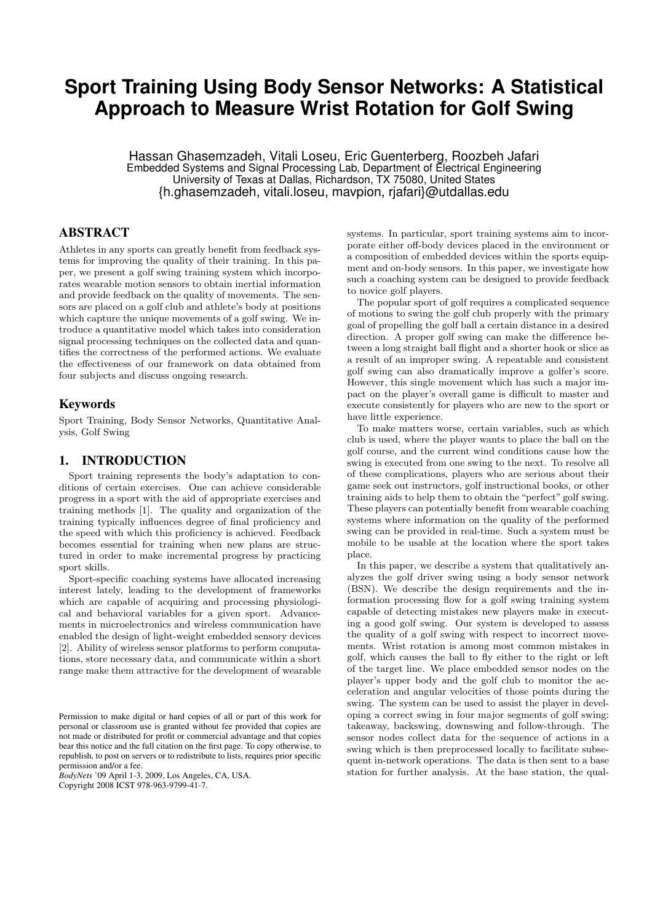# **Sport Training Using Body Sensor Networks: A Statistical Approach to Measure Wrist Rotation for Golf Swing**

Hassan Ghasemzadeh, Vitali Loseu, Eric Guenterberg, Roozbeh Jafari Embedded Systems and Signal Processing Lab, Department of Electrical Engineering University of Texas at Dallas, Richardson, TX 75080, United States {h.ghasemzadeh, vitali.loseu, mavpion, rjafari}@utdallas.edu

# ABSTRACT

Athletes in any sports can greatly benefit from feedback systems for improving the quality of their training. In this paper, we present a golf swing training system which incorporates wearable motion sensors to obtain inertial information and provide feedback on the quality of movements. The sensors are placed on a golf club and athlete's body at positions which capture the unique movements of a golf swing. We introduce a quantitative model which takes into consideration signal processing techniques on the collected data and quantifies the correctness of the performed actions. We evaluate the effectiveness of our framework on data obtained from four subjects and discuss ongoing research.

# Keywords

Sport Training, Body Sensor Networks, Quantitative Analysis, Golf Swing

# 1. INTRODUCTION

Sport training represents the body's adaptation to conditions of certain exercises. One can achieve considerable progress in a sport with the aid of appropriate exercises and training methods [1]. The quality and organization of the training typically influences degree of final proficiency and the speed with which this proficiency is achieved. Feedback becomes essential for training when new plans are structured in order to make incremental progress by practicing sport skills.

Sport-specific coaching systems have allocated increasing interest lately, leading to the development of frameworks which are capable of acquiring and processing physiological and behavioral variables for a given sport. Advancements in microelectronics and wireless communication have enabled the design of light-weight embedded sensory devices [2]. Ability of wireless sensor platforms to perform computations, store necessary data, and communicate within a short range make them attractive for the development of wearable

*BodyNets* '09 April 1-3, 2009, Los Angeles, CA, USA. Copyright 2008 ICST 978-963-9799-41-7.

systems. In particular, sport training systems aim to incorporate either off-body devices placed in the environment or a composition of embedded devices within the sports equipment and on-body sensors. In this paper, we investigate how such a coaching system can be designed to provide feedback to novice golf players.

The popular sport of golf requires a complicated sequence of motions to swing the golf club properly with the primary goal of propelling the golf ball a certain distance in a desired direction. A proper golf swing can make the difference between a long straight ball flight and a shorter hook or slice as a result of an improper swing. A repeatable and consistent golf swing can also dramatically improve a golfer's score. However, this single movement which has such a major impact on the player's overall game is difficult to master and execute consistently for players who are new to the sport or have little experience.

To make matters worse, certain variables, such as which club is used, where the player wants to place the ball on the golf course, and the current wind conditions cause how the swing is executed from one swing to the next. To resolve all of these complications, players who are serious about their game seek out instructors, golf instructional books, or other training aids to help them to obtain the "perfect" golf swing. These players can potentially benefit from wearable coaching systems where information on the quality of the performed swing can be provided in real-time. Such a system must be mobile to be usable at the location where the sport takes place.

In this paper, we describe a system that qualitatively analyzes the golf driver swing using a body sensor network (BSN). We describe the design requirements and the information processing flow for a golf swing training system capable of detecting mistakes new players make in executing a good golf swing. Our system is developed to assess the quality of a golf swing with respect to incorrect movements. Wrist rotation is among most common mistakes in golf, which causes the ball to fly either to the right or left of the target line. We place embedded sensor nodes on the player's upper body and the golf club to monitor the acceleration and angular velocities of those points during the swing. The system can be used to assist the player in developing a correct swing in four major segments of golf swing: takeaway, backswing, downswing and follow-through. The sensor nodes collect data for the sequence of actions in a swing which is then preprocessed locally to facilitate subsequent in-network operations. The data is then sent to a base station for further analysis. At the base station, the qual-

Permission to make digital or hard copies of all or part of this work for personal or classroom use is granted without fee provided that copies are not made or distributed for profit or commercial advantage and that copies bear this notice and the full citation on the first page. To copy otherwise, to republish, to post on servers or to redistribute to lists, requires prior specific permission and/or a fee.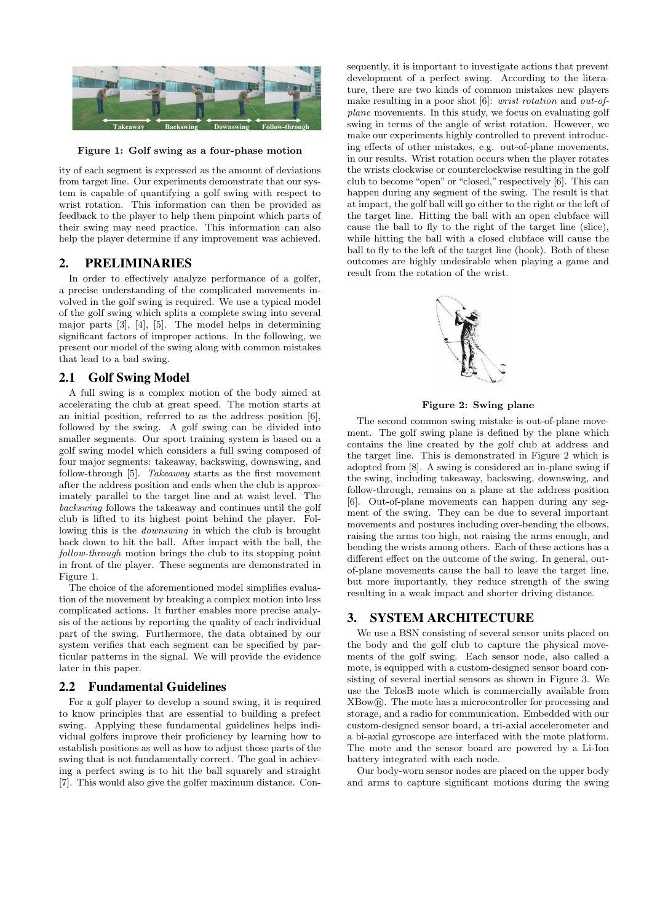

Figure 1: Golf swing as a four-phase motion

ity of each segment is expressed as the amount of deviations from target line. Our experiments demonstrate that our system is capable of quantifying a golf swing with respect to wrist rotation. This information can then be provided as feedback to the player to help them pinpoint which parts of their swing may need practice. This information can also help the player determine if any improvement was achieved.

## 2. PRELIMINARIES

In order to effectively analyze performance of a golfer, a precise understanding of the complicated movements involved in the golf swing is required. We use a typical model of the golf swing which splits a complete swing into several major parts [3], [4], [5]. The model helps in determining significant factors of improper actions. In the following, we present our model of the swing along with common mistakes that lead to a bad swing.

# 2.1 Golf Swing Model

A full swing is a complex motion of the body aimed at accelerating the club at great speed. The motion starts at an initial position, referred to as the address position [6], followed by the swing. A golf swing can be divided into smaller segments. Our sport training system is based on a golf swing model which considers a full swing composed of four major segments: takeaway, backswing, downswing, and follow-through [5]. Takeaway starts as the first movement after the address position and ends when the club is approximately parallel to the target line and at waist level. The backswing follows the takeaway and continues until the golf club is lifted to its highest point behind the player. Following this is the downswing in which the club is brought back down to hit the ball. After impact with the ball, the follow-through motion brings the club to its stopping point in front of the player. These segments are demonstrated in Figure 1.

The choice of the aforementioned model simplifies evaluation of the movement by breaking a complex motion into less complicated actions. It further enables more precise analysis of the actions by reporting the quality of each individual part of the swing. Furthermore, the data obtained by our system verifies that each segment can be specified by particular patterns in the signal. We will provide the evidence later in this paper.

# 2.2 Fundamental Guidelines

For a golf player to develop a sound swing, it is required to know principles that are essential to building a prefect swing. Applying these fundamental guidelines helps individual golfers improve their proficiency by learning how to establish positions as well as how to adjust those parts of the swing that is not fundamentally correct. The goal in achieving a perfect swing is to hit the ball squarely and straight [7]. This would also give the golfer maximum distance. Con-

sequently, it is important to investigate actions that prevent development of a perfect swing. According to the literature, there are two kinds of common mistakes new players make resulting in a poor shot [6]: wrist rotation and out-ofplane movements. In this study, we focus on evaluating golf swing in terms of the angle of wrist rotation. However, we make our experiments highly controlled to prevent introducing effects of other mistakes, e.g. out-of-plane movements, in our results. Wrist rotation occurs when the player rotates the wrists clockwise or counterclockwise resulting in the golf club to become "open" or "closed," respectively [6]. This can happen during any segment of the swing. The result is that at impact, the golf ball will go either to the right or the left of the target line. Hitting the ball with an open clubface will cause the ball to fly to the right of the target line (slice), while hitting the ball with a closed clubface will cause the ball to fly to the left of the target line (hook). Both of these outcomes are highly undesirable when playing a game and result from the rotation of the wrist.



Figure 2: Swing plane

The second common swing mistake is out-of-plane movement. The golf swing plane is defined by the plane which contains the line created by the golf club at address and the target line. This is demonstrated in Figure 2 which is adopted from [8]. A swing is considered an in-plane swing if the swing, including takeaway, backswing, downswing, and follow-through, remains on a plane at the address position [6]. Out-of-plane movements can happen during any segment of the swing. They can be due to several important movements and postures including over-bending the elbows, raising the arms too high, not raising the arms enough, and bending the wrists among others. Each of these actions has a different effect on the outcome of the swing. In general, outof-plane movements cause the ball to leave the target line, but more importantly, they reduce strength of the swing resulting in a weak impact and shorter driving distance.

# 3. SYSTEM ARCHITECTURE

We use a BSN consisting of several sensor units placed on the body and the golf club to capture the physical movements of the golf swing. Each sensor node, also called a mote, is equipped with a custom-designed sensor board consisting of several inertial sensors as shown in Figure 3. We use the TelosB mote which is commercially available from  $XBow(\mathbb{R})$ . The mote has a microcontroller for processing and storage, and a radio for communication. Embedded with our custom-designed sensor board, a tri-axial accelerometer and a bi-axial gyroscope are interfaced with the mote platform. The mote and the sensor board are powered by a Li-Ion battery integrated with each node.

Our body-worn sensor nodes are placed on the upper body and arms to capture significant motions during the swing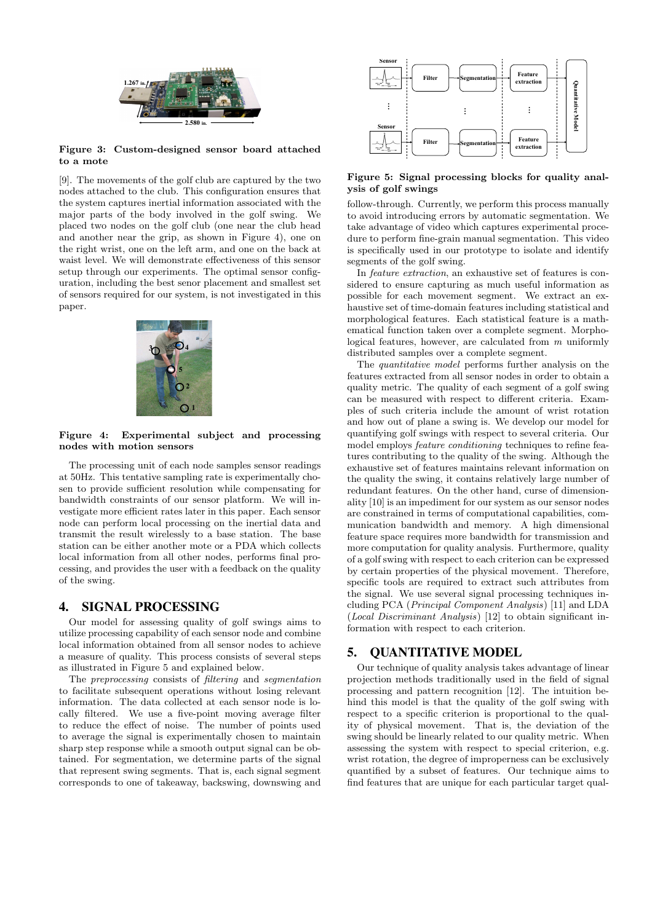

#### Figure 3: Custom-designed sensor board attached to a mote

[9]. The movements of the golf club are captured by the two nodes attached to the club. This configuration ensures that the system captures inertial information associated with the major parts of the body involved in the golf swing. We placed two nodes on the golf club (one near the club head and another near the grip, as shown in Figure 4), one on the right wrist, one on the left arm, and one on the back at waist level. We will demonstrate effectiveness of this sensor setup through our experiments. The optimal sensor configuration, including the best senor placement and smallest set of sensors required for our system, is not investigated in this paper.



#### Figure 4: Experimental subject and processing nodes with motion sensors

The processing unit of each node samples sensor readings at 50Hz. This tentative sampling rate is experimentally chosen to provide sufficient resolution while compensating for bandwidth constraints of our sensor platform. We will investigate more efficient rates later in this paper. Each sensor node can perform local processing on the inertial data and transmit the result wirelessly to a base station. The base station can be either another mote or a PDA which collects local information from all other nodes, performs final processing, and provides the user with a feedback on the quality of the swing.

# 4. SIGNAL PROCESSING

Our model for assessing quality of golf swings aims to utilize processing capability of each sensor node and combine local information obtained from all sensor nodes to achieve a measure of quality. This process consists of several steps as illustrated in Figure 5 and explained below.

The preprocessing consists of filtering and segmentation to facilitate subsequent operations without losing relevant information. The data collected at each sensor node is locally filtered. We use a five-point moving average filter to reduce the effect of noise. The number of points used to average the signal is experimentally chosen to maintain sharp step response while a smooth output signal can be obtained. For segmentation, we determine parts of the signal that represent swing segments. That is, each signal segment corresponds to one of takeaway, backswing, downswing and



### Figure 5: Signal processing blocks for quality analysis of golf swings

follow-through. Currently, we perform this process manually to avoid introducing errors by automatic segmentation. We take advantage of video which captures experimental procedure to perform fine-grain manual segmentation. This video is specifically used in our prototype to isolate and identify segments of the golf swing.

In feature extraction, an exhaustive set of features is considered to ensure capturing as much useful information as possible for each movement segment. We extract an exhaustive set of time-domain features including statistical and morphological features. Each statistical feature is a mathematical function taken over a complete segment. Morphological features, however, are calculated from  $m$  uniformly distributed samples over a complete segment.

The quantitative model performs further analysis on the features extracted from all sensor nodes in order to obtain a quality metric. The quality of each segment of a golf swing can be measured with respect to different criteria. Examples of such criteria include the amount of wrist rotation and how out of plane a swing is. We develop our model for quantifying golf swings with respect to several criteria. Our model employs feature conditioning techniques to refine features contributing to the quality of the swing. Although the exhaustive set of features maintains relevant information on the quality the swing, it contains relatively large number of redundant features. On the other hand, curse of dimensionality [10] is an impediment for our system as our sensor nodes are constrained in terms of computational capabilities, communication bandwidth and memory. A high dimensional feature space requires more bandwidth for transmission and more computation for quality analysis. Furthermore, quality of a golf swing with respect to each criterion can be expressed by certain properties of the physical movement. Therefore, specific tools are required to extract such attributes from the signal. We use several signal processing techniques including PCA (Principal Component Analysis) [11] and LDA (Local Discriminant Analysis) [12] to obtain significant information with respect to each criterion.

# 5. QUANTITATIVE MODEL

Our technique of quality analysis takes advantage of linear projection methods traditionally used in the field of signal processing and pattern recognition [12]. The intuition behind this model is that the quality of the golf swing with respect to a specific criterion is proportional to the quality of physical movement. That is, the deviation of the swing should be linearly related to our quality metric. When assessing the system with respect to special criterion, e.g. wrist rotation, the degree of improperness can be exclusively quantified by a subset of features. Our technique aims to find features that are unique for each particular target qual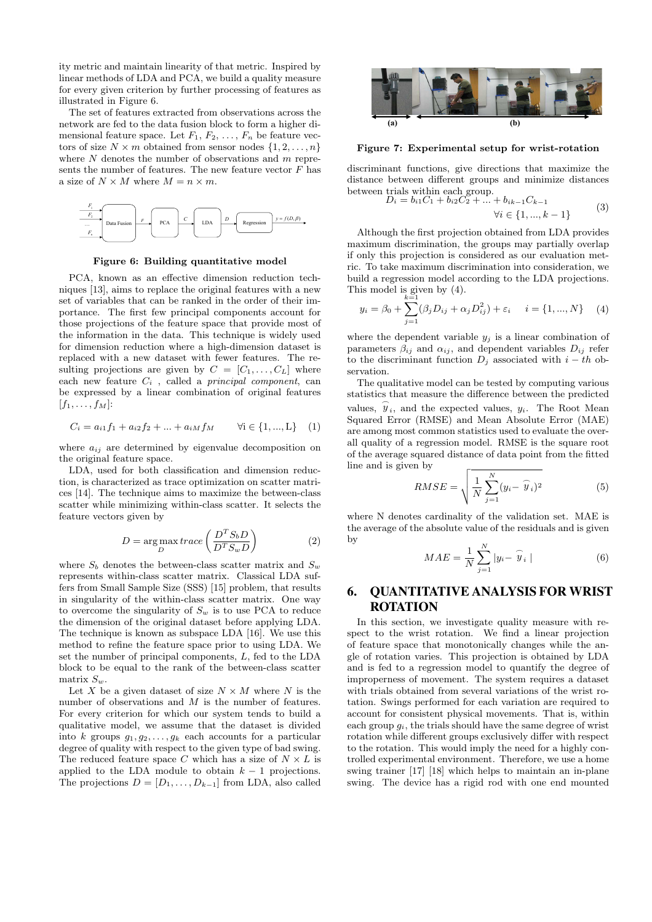ity metric and maintain linearity of that metric. Inspired by linear methods of LDA and PCA, we build a quality measure for every given criterion by further processing of features as illustrated in Figure 6.

The set of features extracted from observations across the network are fed to the data fusion block to form a higher dimensional feature space. Let  $F_1, F_2, \ldots, F_n$  be feature vectors of size  $N \times m$  obtained from sensor nodes  $\{1, 2, \ldots, n\}$ where  $N$  denotes the number of observations and  $m$  represents the number of features. The new feature vector  $F$  has a size of  $N \times M$  where  $M = n \times m$ .



Figure 6: Building quantitative model

PCA, known as an effective dimension reduction techniques [13], aims to replace the original features with a new set of variables that can be ranked in the order of their importance. The first few principal components account for those projections of the feature space that provide most of the information in the data. This technique is widely used for dimension reduction where a high-dimension dataset is replaced with a new dataset with fewer features. The resulting projections are given by  $C = [C_1, \ldots, C_L]$  where each new feature  $C_i$ , called a *principal component*, can be expressed by a linear combination of original features  $[f_1, \ldots, f_M]$ :

$$
C_i = a_{i1}f_1 + a_{i2}f_2 + \dots + a_{iM}f_M \qquad \forall i \in \{1, ..., L\} \quad (1)
$$

where  $a_{ij}$  are determined by eigenvalue decomposition on the original feature space.

LDA, used for both classification and dimension reduction, is characterized as trace optimization on scatter matrices [14]. The technique aims to maximize the between-class scatter while minimizing within-class scatter. It selects the feature vectors given by

$$
D = \underset{D}{\text{arg max}} \, trace\left(\frac{D^T S_b D}{D^T S_w D}\right) \tag{2}
$$

where  $S_b$  denotes the between-class scatter matrix and  $S_w$ represents within-class scatter matrix. Classical LDA suffers from Small Sample Size (SSS) [15] problem, that results in singularity of the within-class scatter matrix. One way to overcome the singularity of  $S_w$  is to use PCA to reduce the dimension of the original dataset before applying LDA. The technique is known as subspace LDA [16]. We use this method to refine the feature space prior to using LDA. We set the number of principal components, L, fed to the LDA block to be equal to the rank of the between-class scatter matrix  $S_w$ .

Let X be a given dataset of size  $N \times M$  where N is the number of observations and M is the number of features. For every criterion for which our system tends to build a qualitative model, we assume that the dataset is divided into k groups  $g_1, g_2, \ldots, g_k$  each accounts for a particular degree of quality with respect to the given type of bad swing. The reduced feature space C which has a size of  $N \times L$  is applied to the LDA module to obtain  $k - 1$  projections. The projections  $D = [D_1, \ldots, D_{k-1}]$  from LDA, also called



Figure 7: Experimental setup for wrist-rotation

discriminant functions, give directions that maximize the distance between different groups and minimize distances between trials within each group.<br>  $D_i = b_{i1}C_1 + b_{i2}C_2 + \dots + b_{ik-1}C_{k-1}$ 

$$
\forall i \in \{1, ..., k-1\} \tag{3}
$$

$$
\forall i \in \{1, ..., k-1\}
$$

Although the first projection obtained from LDA provides maximum discrimination, the groups may partially overlap if only this projection is considered as our evaluation metric. To take maximum discrimination into consideration, we build a regression model according to the LDA projections. This model is given by (4).

$$
y_i = \beta_0 + \sum_{j=1}^{k=1} (\beta_j D_{ij} + \alpha_j D_{ij}^2) + \varepsilon_i \quad i = \{1, ..., N\} \quad (4)
$$

where the dependent variable  $y_j$  is a linear combination of parameters  $\beta_{ij}$  and  $\alpha_{ij}$ , and dependent variables  $D_{ij}$  refer to the discriminant function  $D_i$  associated with  $i - th$  observation.

The qualitative model can be tested by computing various statistics that measure the difference between the predicted values,  $\hat{y}_i$ , and the expected values,  $y_i$ . The Root Mean Squared Error (RMSE) and Mean Absolute Error (MAE) are among most common statistics used to evaluate the overall quality of a regression model. RMSE is the square root of the average squared distance of data point from the fitted line and is given by

n by  
\n
$$
RMSE = \sqrt{\frac{1}{N} \sum_{j=1}^{N} (y_i - \widehat{y}_i)^2}
$$
\n(5)

where N denotes cardinality of the validation set. MAE is the average of the absolute value of the residuals and is given by

$$
MAE = \frac{1}{N} \sum_{j=1}^{N} |y_i - \widehat{y}_i|
$$
 (6)

# 6. QUANTITATIVE ANALYSIS FOR WRIST **ROTATION**

In this section, we investigate quality measure with respect to the wrist rotation. We find a linear projection of feature space that monotonically changes while the angle of rotation varies. This projection is obtained by LDA and is fed to a regression model to quantify the degree of improperness of movement. The system requires a dataset with trials obtained from several variations of the wrist rotation. Swings performed for each variation are required to account for consistent physical movements. That is, within each group  $g_i$ , the trials should have the same degree of wrist rotation while different groups exclusively differ with respect to the rotation. This would imply the need for a highly controlled experimental environment. Therefore, we use a home swing trainer [17] [18] which helps to maintain an in-plane swing. The device has a rigid rod with one end mounted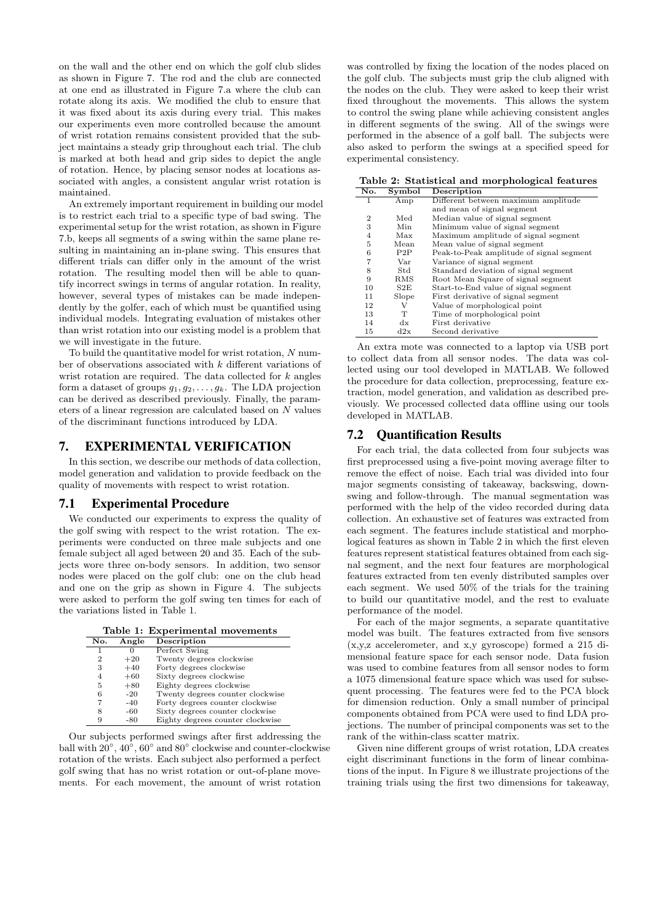on the wall and the other end on which the golf club slides as shown in Figure 7. The rod and the club are connected at one end as illustrated in Figure 7.a where the club can rotate along its axis. We modified the club to ensure that it was fixed about its axis during every trial. This makes our experiments even more controlled because the amount of wrist rotation remains consistent provided that the subject maintains a steady grip throughout each trial. The club is marked at both head and grip sides to depict the angle of rotation. Hence, by placing sensor nodes at locations associated with angles, a consistent angular wrist rotation is maintained.

An extremely important requirement in building our model is to restrict each trial to a specific type of bad swing. The experimental setup for the wrist rotation, as shown in Figure 7.b, keeps all segments of a swing within the same plane resulting in maintaining an in-plane swing. This ensures that different trials can differ only in the amount of the wrist rotation. The resulting model then will be able to quantify incorrect swings in terms of angular rotation. In reality, however, several types of mistakes can be made independently by the golfer, each of which must be quantified using individual models. Integrating evaluation of mistakes other than wrist rotation into our existing model is a problem that we will investigate in the future.

To build the quantitative model for wrist rotation,  $N$  number of observations associated with k different variations of wrist rotation are required. The data collected for  $k$  angles form a dataset of groups  $g_1, g_2, \ldots, g_k$ . The LDA projection can be derived as described previously. Finally, the parameters of a linear regression are calculated based on N values of the discriminant functions introduced by LDA.

### 7. EXPERIMENTAL VERIFICATION

In this section, we describe our methods of data collection, model generation and validation to provide feedback on the quality of movements with respect to wrist rotation.

#### 7.1 Experimental Procedure

We conducted our experiments to express the quality of the golf swing with respect to the wrist rotation. The experiments were conducted on three male subjects and one female subject all aged between 20 and 35. Each of the subjects wore three on-body sensors. In addition, two sensor nodes were placed on the golf club: one on the club head and one on the grip as shown in Figure 4. The subjects were asked to perform the golf swing ten times for each of the variations listed in Table 1.

Table 1: Experimental movements

| No.            | Angle | Description                      |
|----------------|-------|----------------------------------|
|                |       | Perfect Swing                    |
| $\overline{2}$ | $+20$ | Twenty degrees clockwise         |
| 3              | $+40$ | Forty degrees clockwise          |
| 4              | $+60$ | Sixty degrees clockwise          |
| 5              | $+80$ | Eighty degrees clockwise         |
| 6              | $-20$ | Twenty degrees counter clockwise |
|                | -40   | Forty degrees counter clockwise  |
| 8              | -60   | Sixty degrees counter clockwise  |
| 9              | -80   | Eighty degrees counter clockwise |

Our subjects performed swings after first addressing the ball with  $20^{\circ}$ ,  $40^{\circ}$ ,  $60^{\circ}$  and  $80^{\circ}$  clockwise and counter-clockwise rotation of the wrists. Each subject also performed a perfect golf swing that has no wrist rotation or out-of-plane movements. For each movement, the amount of wrist rotation

was controlled by fixing the location of the nodes placed on the golf club. The subjects must grip the club aligned with the nodes on the club. They were asked to keep their wrist fixed throughout the movements. This allows the system to control the swing plane while achieving consistent angles in different segments of the swing. All of the swings were performed in the absence of a golf ball. The subjects were also asked to perform the swings at a specified speed for experimental consistency.

Table 2: Statistical and morphological features

| No.            | Symbol      | Description                              |  |  |
|----------------|-------------|------------------------------------------|--|--|
| 1              | Amp         | Different between maximum amplitude      |  |  |
|                |             | and mean of signal segment               |  |  |
| $\overline{2}$ | Med         | Median value of signal segment           |  |  |
| 3              | Min         | Minimum value of signal segment          |  |  |
| 4              | Max         | Maximum amplitude of signal segment      |  |  |
| 5              | Mean        | Mean value of signal segment             |  |  |
| 6              | P2P         | Peak-to-Peak amplitude of signal segment |  |  |
| 7              | Var         | Variance of signal segment               |  |  |
| 8              | $^{Std}$    | Standard deviation of signal segment     |  |  |
| 9              | RMS         | Root Mean Square of signal segment       |  |  |
| 10             | S2E         | Start-to-End value of signal segment     |  |  |
| 11             | Slope       | First derivative of signal segment       |  |  |
| 12             | V           | Value of morphological point             |  |  |
| 13             | т           | Time of morphological point              |  |  |
| 14             | dx          | First derivative                         |  |  |
| 15             | $_{\rm dx}$ | Second derivative                        |  |  |

An extra mote was connected to a laptop via USB port to collect data from all sensor nodes. The data was collected using our tool developed in MATLAB. We followed the procedure for data collection, preprocessing, feature extraction, model generation, and validation as described previously. We processed collected data offline using our tools developed in MATLAB.

### 7.2 Quantification Results

For each trial, the data collected from four subjects was first preprocessed using a five-point moving average filter to remove the effect of noise. Each trial was divided into four major segments consisting of takeaway, backswing, downswing and follow-through. The manual segmentation was performed with the help of the video recorded during data collection. An exhaustive set of features was extracted from each segment. The features include statistical and morphological features as shown in Table 2 in which the first eleven features represent statistical features obtained from each signal segment, and the next four features are morphological features extracted from ten evenly distributed samples over each segment. We used 50% of the trials for the training to build our quantitative model, and the rest to evaluate performance of the model.

For each of the major segments, a separate quantitative model was built. The features extracted from five sensors (x,y,z accelerometer, and x,y gyroscope) formed a 215 dimensional feature space for each sensor node. Data fusion was used to combine features from all sensor nodes to form a 1075 dimensional feature space which was used for subsequent processing. The features were fed to the PCA block for dimension reduction. Only a small number of principal components obtained from PCA were used to find LDA projections. The number of principal components was set to the rank of the within-class scatter matrix.

Given nine different groups of wrist rotation, LDA creates eight discriminant functions in the form of linear combinations of the input. In Figure 8 we illustrate projections of the training trials using the first two dimensions for takeaway,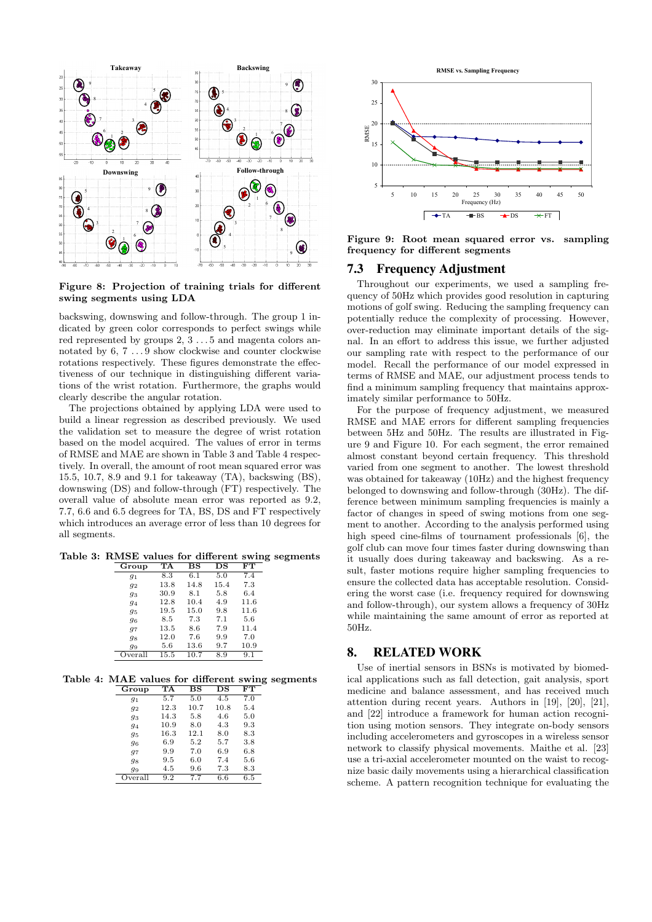

Figure 8: Projection of training trials for different swing segments using LDA

backswing, downswing and follow-through. The group 1 indicated by green color corresponds to perfect swings while red represented by groups 2, 3 . . . 5 and magenta colors annotated by  $6,\,7\,\ldots 9$  show clockwise and counter clockwise rotations respectively. These figures demonstrate the effectiveness of our technique in distinguishing different variations of the wrist rotation. Furthermore, the graphs would clearly describe the angular rotation.

The projections obtained by applying LDA were used to build a linear regression as described previously. We used the validation set to measure the degree of wrist rotation based on the model acquired. The values of error in terms of RMSE and MAE are shown in Table 3 and Table 4 respectively. In overall, the amount of root mean squared error was 15.5, 10.7, 8.9 and 9.1 for takeaway (TA), backswing (BS), downswing (DS) and follow-through (FT) respectively. The overall value of absolute mean error was reported as 9.2, 7.7, 6.6 and 6.5 degrees for TA, BS, DS and FT respectively which introduces an average error of less than 10 degrees for all segments.

Table 3: RMSE values for different swing segments

| Group   | TA   | $_{\rm BS}$ | $_{\rm DS}$ | FТ   |
|---------|------|-------------|-------------|------|
| $q_1$   | 8.3  | 6.1         | 5.0         | 7.4  |
| 92      | 13.8 | 14.8        | 15.4        | 7.3  |
| 93      | 30.9 | 8.1         | 5.8         | 6.4  |
| 94      | 12.8 | 10.4        | 4.9         | 11.6 |
| 95      | 19.5 | 15.0        | 9.8         | 11.6 |
| 96      | 8.5  | 7.3         | 7.1         | 5.6  |
| 97      | 13.5 | 8.6         | 7.9         | 11.4 |
| 98      | 12.0 | 7.6         | 9.9         | 7.0  |
| 99      | 5.6  | 13.6        | 9.7         | 10.9 |
| Overall | 15.5 | 10.7        | 8.9         | 9.1  |

Table 4: MAE values for different swing segments Group TA BS DS FT

| ասար    |      | ມມ   | ມມ   | r r |
|---------|------|------|------|-----|
| $g_1$   | 5.7  | 5.0  | 4.5  | 7.0 |
| 92      | 12.3 | 10.7 | 10.8 | 5.4 |
| 93      | 14.3 | 5.8  | 4.6  | 5.0 |
| 94      | 10.9 | 8.0  | 4.3  | 9.3 |
| 95      | 16.3 | 12.1 | 8.0  | 8.3 |
| 96      | 6.9  | 5.2  | 5.7  | 3.8 |
| 97      | 9.9  | 7.0  | 6.9  | 6.8 |
| 98      | 9.5  | 6.0  | 7.4  | 5.6 |
| 99      | 4.5  | 9.6  | 7.3  | 8.3 |
| Overall | 9.2  | 7.7  | 6.6  | 6.5 |



Figure 9: Root mean squared error vs. sampling frequency for different segments

### 7.3 Frequency Adjustment

Throughout our experiments, we used a sampling frequency of 50Hz which provides good resolution in capturing motions of golf swing. Reducing the sampling frequency can potentially reduce the complexity of processing. However, over-reduction may eliminate important details of the signal. In an effort to address this issue, we further adjusted our sampling rate with respect to the performance of our model. Recall the performance of our model expressed in terms of RMSE and MAE, our adjustment process tends to find a minimum sampling frequency that maintains approximately similar performance to 50Hz.

For the purpose of frequency adjustment, we measured RMSE and MAE errors for different sampling frequencies between 5Hz and 50Hz. The results are illustrated in Figure 9 and Figure 10. For each segment, the error remained almost constant beyond certain frequency. This threshold varied from one segment to another. The lowest threshold was obtained for takeaway (10Hz) and the highest frequency belonged to downswing and follow-through (30Hz). The difference between minimum sampling frequencies is mainly a factor of changes in speed of swing motions from one segment to another. According to the analysis performed using high speed cine-films of tournament professionals [6], the golf club can move four times faster during downswing than it usually does during takeaway and backswing. As a result, faster motions require higher sampling frequencies to ensure the collected data has acceptable resolution. Considering the worst case (i.e. frequency required for downswing and follow-through), our system allows a frequency of 30Hz while maintaining the same amount of error as reported at 50Hz.

# 8. RELATED WORK

Use of inertial sensors in BSNs is motivated by biomedical applications such as fall detection, gait analysis, sport medicine and balance assessment, and has received much attention during recent years. Authors in [19], [20], [21], and [22] introduce a framework for human action recognition using motion sensors. They integrate on-body sensors including accelerometers and gyroscopes in a wireless sensor network to classify physical movements. Maithe et al. [23] use a tri-axial accelerometer mounted on the waist to recognize basic daily movements using a hierarchical classification scheme. A pattern recognition technique for evaluating the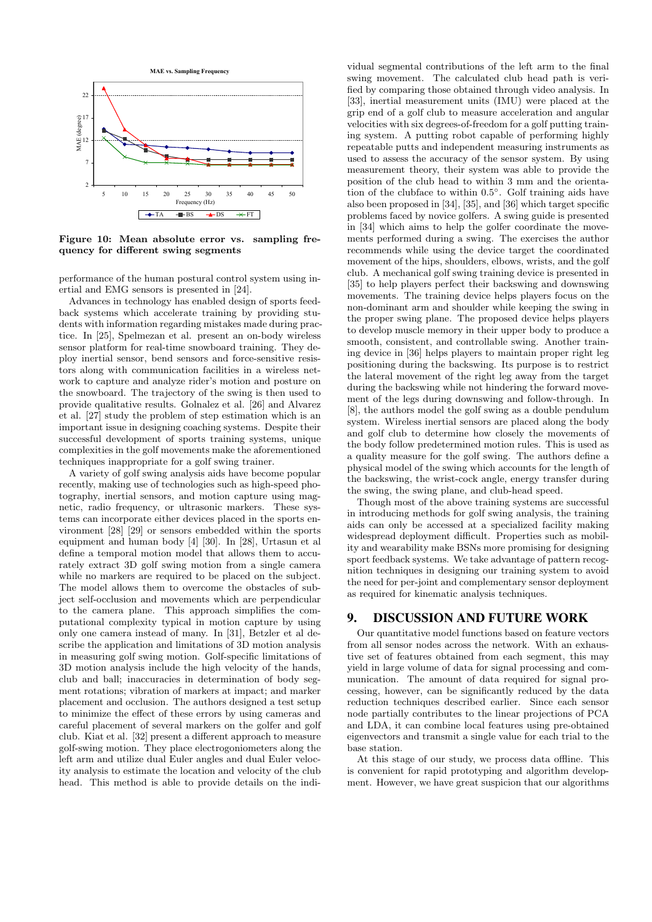

Figure 10: Mean absolute error vs. sampling frequency for different swing segments

performance of the human postural control system using inertial and EMG sensors is presented in [24].

Advances in technology has enabled design of sports feedback systems which accelerate training by providing students with information regarding mistakes made during practice. In [25], Spelmezan et al. present an on-body wireless sensor platform for real-time snowboard training. They deploy inertial sensor, bend sensors and force-sensitive resistors along with communication facilities in a wireless network to capture and analyze rider's motion and posture on the snowboard. The trajectory of the swing is then used to provide qualitative results. Golnalez et al. [26] and Alvarez et al. [27] study the problem of step estimation which is an important issue in designing coaching systems. Despite their successful development of sports training systems, unique complexities in the golf movements make the aforementioned techniques inappropriate for a golf swing trainer.

A variety of golf swing analysis aids have become popular recently, making use of technologies such as high-speed photography, inertial sensors, and motion capture using magnetic, radio frequency, or ultrasonic markers. These systems can incorporate either devices placed in the sports environment [28] [29] or sensors embedded within the sports equipment and human body [4] [30]. In [28], Urtasun et al define a temporal motion model that allows them to accurately extract 3D golf swing motion from a single camera while no markers are required to be placed on the subject. The model allows them to overcome the obstacles of subject self-occlusion and movements which are perpendicular to the camera plane. This approach simplifies the computational complexity typical in motion capture by using only one camera instead of many. In [31], Betzler et al describe the application and limitations of 3D motion analysis in measuring golf swing motion. Golf-specific limitations of 3D motion analysis include the high velocity of the hands, club and ball; inaccuracies in determination of body segment rotations; vibration of markers at impact; and marker placement and occlusion. The authors designed a test setup to minimize the effect of these errors by using cameras and careful placement of several markers on the golfer and golf club. Kiat et al. [32] present a different approach to measure golf-swing motion. They place electrogoniometers along the left arm and utilize dual Euler angles and dual Euler velocity analysis to estimate the location and velocity of the club head. This method is able to provide details on the indi-

vidual segmental contributions of the left arm to the final swing movement. The calculated club head path is verified by comparing those obtained through video analysis. In [33], inertial measurement units (IMU) were placed at the grip end of a golf club to measure acceleration and angular velocities with six degrees-of-freedom for a golf putting training system. A putting robot capable of performing highly repeatable putts and independent measuring instruments as used to assess the accuracy of the sensor system. By using measurement theory, their system was able to provide the position of the club head to within 3 mm and the orientation of the clubface to within 0.5◦ . Golf training aids have also been proposed in [34], [35], and [36] which target specific problems faced by novice golfers. A swing guide is presented in [34] which aims to help the golfer coordinate the movements performed during a swing. The exercises the author recommends while using the device target the coordinated movement of the hips, shoulders, elbows, wrists, and the golf club. A mechanical golf swing training device is presented in [35] to help players perfect their backswing and downswing movements. The training device helps players focus on the non-dominant arm and shoulder while keeping the swing in the proper swing plane. The proposed device helps players to develop muscle memory in their upper body to produce a smooth, consistent, and controllable swing. Another training device in [36] helps players to maintain proper right leg positioning during the backswing. Its purpose is to restrict the lateral movement of the right leg away from the target during the backswing while not hindering the forward movement of the legs during downswing and follow-through. In [8], the authors model the golf swing as a double pendulum system. Wireless inertial sensors are placed along the body and golf club to determine how closely the movements of the body follow predetermined motion rules. This is used as a quality measure for the golf swing. The authors define a physical model of the swing which accounts for the length of the backswing, the wrist-cock angle, energy transfer during the swing, the swing plane, and club-head speed.

Though most of the above training systems are successful in introducing methods for golf swing analysis, the training aids can only be accessed at a specialized facility making widespread deployment difficult. Properties such as mobility and wearability make BSNs more promising for designing sport feedback systems. We take advantage of pattern recognition techniques in designing our training system to avoid the need for per-joint and complementary sensor deployment as required for kinematic analysis techniques.

# 9. DISCUSSION AND FUTURE WORK

Our quantitative model functions based on feature vectors from all sensor nodes across the network. With an exhaustive set of features obtained from each segment, this may yield in large volume of data for signal processing and communication. The amount of data required for signal processing, however, can be significantly reduced by the data reduction techniques described earlier. Since each sensor node partially contributes to the linear projections of PCA and LDA, it can combine local features using pre-obtained eigenvectors and transmit a single value for each trial to the base station.

At this stage of our study, we process data offline. This is convenient for rapid prototyping and algorithm development. However, we have great suspicion that our algorithms